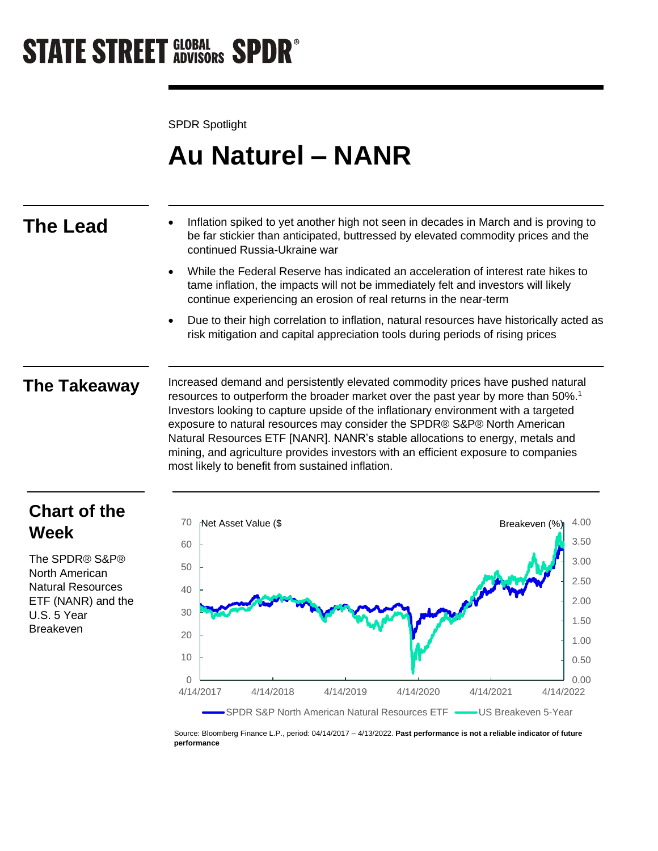# **STATE STREET GLOBAL SPDR<sup>®</sup>**

SPDR Spotlight

## **Au Naturel – NANR**

- **The Lead** Inflation spiked to yet another high not seen in decades in March and is proving to be far stickier than anticipated, buttressed by elevated commodity prices and the continued Russia-Ukraine war
	- While the Federal Reserve has indicated an acceleration of interest rate hikes to tame inflation, the impacts will not be immediately felt and investors will likely continue experiencing an erosion of real returns in the near-term
	- Due to their high correlation to inflation, natural resources have historically acted as risk mitigation and capital appreciation tools during periods of rising prices

**The Takeaway** Increased demand and persistently elevated commodity prices have pushed natural resources to outperform the broader market over the past year by more than 50%.<sup>1</sup> Investors looking to capture upside of the inflationary environment with a targeted exposure to natural resources may consider the SPDR® S&P® North American Natural Resources ETF [NANR]. NANR's stable allocations to energy, metals and mining, and agriculture provides investors with an efficient exposure to companies most likely to benefit from sustained inflation.

## **Chart of the Week**

The SPDR® S&P® North American Natural Resources ETF (NANR) and the U.S. 5 Year Breakeven



Source: Bloomberg Finance L.P., period: 04/14/2017 – 4/13/2022. **Past performance is not a reliable indicator of future performance**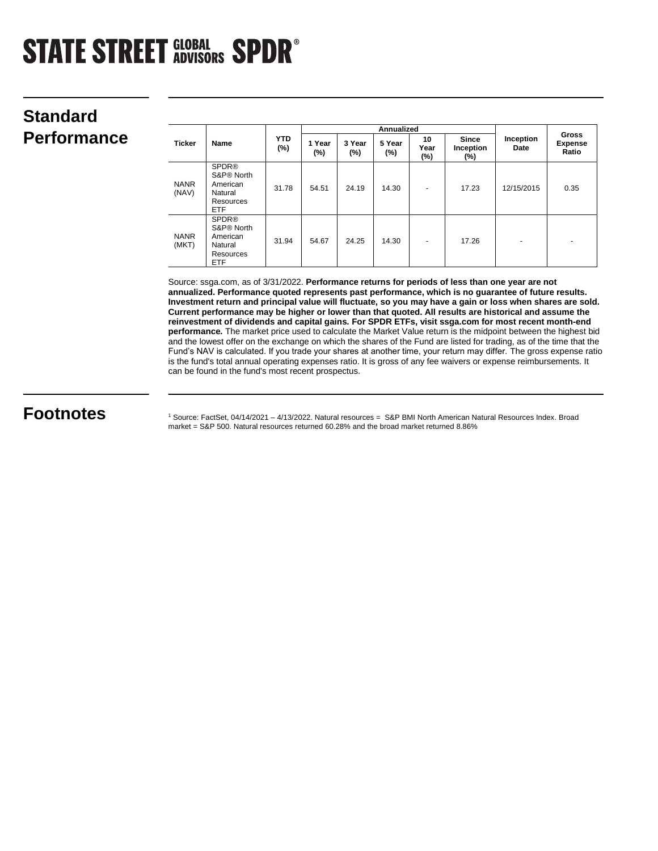# **STATE STREET GLOBAL SPDR®**

## **Standard**   $Performance$

| <b>Ticker</b>        | Name                                                                                     | <b>YTD</b><br>(%) | <b>Annualized</b> |                  |                  |                   |                                  |                   |                                         |
|----------------------|------------------------------------------------------------------------------------------|-------------------|-------------------|------------------|------------------|-------------------|----------------------------------|-------------------|-----------------------------------------|
|                      |                                                                                          |                   | 1 Year<br>(%)     | 3 Year<br>$(\%)$ | 5 Year<br>$(\%)$ | 10<br>Year<br>(%) | <b>Since</b><br>Inception<br>(%) | Inception<br>Date | <b>Gross</b><br><b>Expense</b><br>Ratio |
| <b>NANR</b><br>(NAV) | <b>SPDR®</b><br>S&P® North<br>American<br>Natural<br>Resources<br><b>ETF</b>             | 31.78             | 54.51             | 24.19            | 14.30            | $\overline{a}$    | 17.23                            | 12/15/2015        | 0.35                                    |
| <b>NANR</b><br>(MKT) | <b>SPDR®</b><br>S&P <sup>®</sup> North<br>American<br>Natural<br>Resources<br><b>ETF</b> | 31.94             | 54.67             | 24.25            | 14.30            | $\overline{a}$    | 17.26                            | ٠                 | ٠                                       |

Source: ssga.com, as of 3/31/2022. **Performance returns for periods of less than one year are not annualized. Performance quoted represents past performance, which is no guarantee of future results. Investment return and principal value will fluctuate, so you may have a gain or loss when shares are sold. Current performance may be higher or lower than that quoted. All results are historical and assume the reinvestment of dividends and capital gains. For SPDR ETFs, visit ssga.com for most recent month-end performance.** The market price used to calculate the Market Value return is the midpoint between the highest bid and the lowest offer on the exchange on which the shares of the Fund are listed for trading, as of the time that the Fund's NAV is calculated. If you trade your shares at another time, your return may differ. The gross expense ratio is the fund's total annual operating expenses ratio. It is gross of any fee waivers or expense reimbursements. It can be found in the fund's most recent prospectus.

**Footnotes** 1 Source: FactSet, 04/14/2021 – 4/13/2022. Natural resources = S&P BMI North American Natural Resources Index. Broad market = S&P 500. Natural resources returned 60.28% and the broad market returned 8.86%